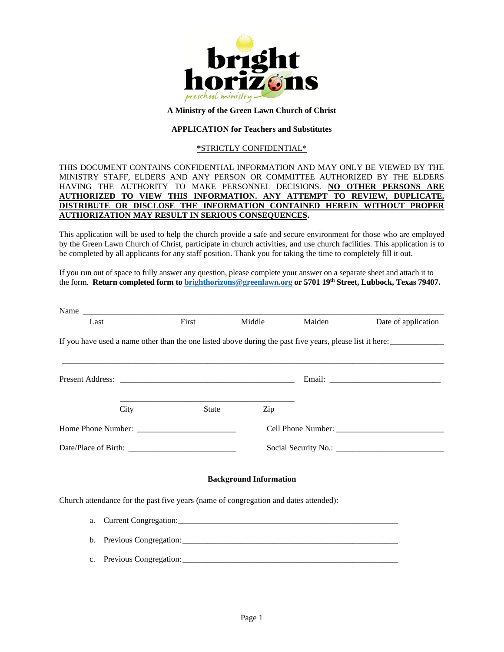

#### **A Ministry of the Green Lawn Church of Christ**

### **APPLICATION for Teachers and Substitutes**

#### **\***STRICTLY CONFIDENTIAL\*

## THIS DOCUMENT CONTAINS CONFIDENTIAL INFORMATION AND MAY ONLY BE VIEWED BY THE MINISTRY STAFF, ELDERS AND ANY PERSON OR COMMITTEE AUTHORIZED BY THE ELDERS HAVING THE AUTHORITY TO MAKE PERSONNEL DECISIONS. **NO OTHER PERSONS ARE AUTHORIZED TO VIEW THIS INFORMATION. ANY ATTEMPT TO REVIEW, DUPLICATE, DISTRIBUTE OR DISCLOSE THE INFORMATION CONTAINED HEREIN WITHOUT PROPER AUTHORIZATION MAY RESULT IN SERIOUS CONSEQUENCES.**

This application will be used to help the church provide a safe and secure environment for those who are employed by the Green Lawn Church of Christ, participate in church activities, and use church facilities. This application is to be completed by all applicants for any staff position. Thank you for taking the time to completely fill it out.

If you run out of space to fully answer any question, please complete your answer on a separate sheet and attach it to the form. **Return completed form to [brighthorizons@greenlawn.org](mailto:brighthorizons@greenlawn.org) or 5701 19th Street, Lubbock, Texas 79407.**

| Last        | First                                                                                                    |       | Middle                        | Maiden | Date of application |
|-------------|----------------------------------------------------------------------------------------------------------|-------|-------------------------------|--------|---------------------|
|             | If you have used a name other than the one listed above during the past five years, please list it here: |       |                               |        |                     |
|             |                                                                                                          |       |                               |        |                     |
|             | City                                                                                                     | State | Zip                           |        |                     |
|             |                                                                                                          |       |                               |        |                     |
|             |                                                                                                          |       |                               |        |                     |
|             |                                                                                                          |       | <b>Background Information</b> |        |                     |
|             | Church attendance for the past five years (name of congregation and dates attended):                     |       |                               |        |                     |
| a.          |                                                                                                          |       |                               |        |                     |
| b.          |                                                                                                          |       |                               |        |                     |
| $c_{\cdot}$ |                                                                                                          |       |                               |        |                     |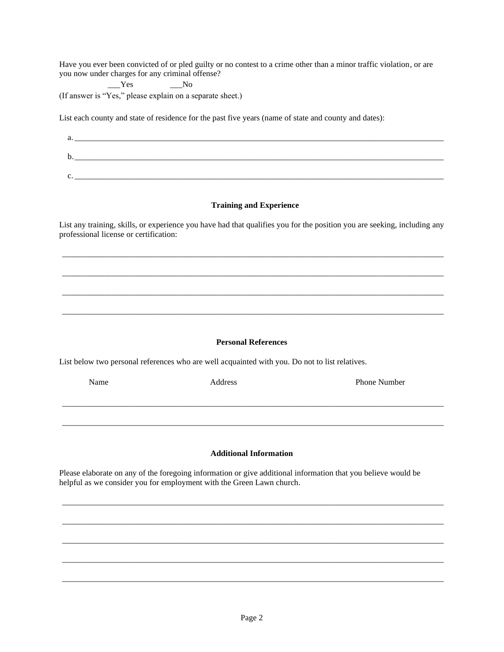Have you ever been convicted of or pled guilty or no contest to a crime other than a minor traffic violation, or are you now under charges for any criminal offense?

 $Yes$  No

(If answer is "Yes," please explain on a separate sheet.)

List each county and state of residence for the past five years (name of state and county and dates):

 $a.$ b.\_\_\_\_\_\_\_\_\_\_\_\_\_\_\_\_\_\_\_\_\_\_\_\_\_\_\_\_\_\_\_\_\_\_\_\_\_\_\_\_\_\_\_\_\_\_\_\_\_\_\_\_\_\_\_\_\_\_\_\_\_\_\_\_\_\_\_\_\_\_\_\_\_\_\_\_\_\_\_\_\_\_\_\_\_\_\_\_\_  $c.$ 

## **Training and Experience**

List any training, skills, or experience you have had that qualifies you for the position you are seeking, including any professional license or certification:

\_\_\_\_\_\_\_\_\_\_\_\_\_\_\_\_\_\_\_\_\_\_\_\_\_\_\_\_\_\_\_\_\_\_\_\_\_\_\_\_\_\_\_\_\_\_\_\_\_\_\_\_\_\_\_\_\_\_\_\_\_\_\_\_\_\_\_\_\_\_\_\_\_\_\_\_\_\_\_\_\_\_\_\_\_\_\_\_\_\_\_\_

\_\_\_\_\_\_\_\_\_\_\_\_\_\_\_\_\_\_\_\_\_\_\_\_\_\_\_\_\_\_\_\_\_\_\_\_\_\_\_\_\_\_\_\_\_\_\_\_\_\_\_\_\_\_\_\_\_\_\_\_\_\_\_\_\_\_\_\_\_\_\_\_\_\_\_\_\_\_\_\_\_\_\_\_\_\_\_\_\_\_\_\_

\_\_\_\_\_\_\_\_\_\_\_\_\_\_\_\_\_\_\_\_\_\_\_\_\_\_\_\_\_\_\_\_\_\_\_\_\_\_\_\_\_\_\_\_\_\_\_\_\_\_\_\_\_\_\_\_\_\_\_\_\_\_\_\_\_\_\_\_\_\_\_\_\_\_\_\_\_\_\_\_\_\_\_\_\_\_\_\_\_\_\_\_

\_\_\_\_\_\_\_\_\_\_\_\_\_\_\_\_\_\_\_\_\_\_\_\_\_\_\_\_\_\_\_\_\_\_\_\_\_\_\_\_\_\_\_\_\_\_\_\_\_\_\_\_\_\_\_\_\_\_\_\_\_\_\_\_\_\_\_\_\_\_\_\_\_\_\_\_\_\_\_\_\_\_\_\_\_\_\_\_\_\_\_\_

#### **Personal References**

List below two personal references who are well acquainted with you. Do not to list relatives.

| Name | Address                                                                                                      | <b>Phone Number</b> |
|------|--------------------------------------------------------------------------------------------------------------|---------------------|
|      |                                                                                                              |                     |
|      |                                                                                                              |                     |
|      |                                                                                                              |                     |
|      | <b>Additional Information</b>                                                                                |                     |
|      | lease elaborate on any of the foregoing information or give additional information that you believe would be |                     |

\_\_\_\_\_\_\_\_\_\_\_\_\_\_\_\_\_\_\_\_\_\_\_\_\_\_\_\_\_\_\_\_\_\_\_\_\_\_\_\_\_\_\_\_\_\_\_\_\_\_\_\_\_\_\_\_\_\_\_\_\_\_\_\_\_\_\_\_\_\_\_\_\_\_\_\_\_\_\_\_\_\_\_\_\_\_\_\_\_\_\_\_

\_\_\_\_\_\_\_\_\_\_\_\_\_\_\_\_\_\_\_\_\_\_\_\_\_\_\_\_\_\_\_\_\_\_\_\_\_\_\_\_\_\_\_\_\_\_\_\_\_\_\_\_\_\_\_\_\_\_\_\_\_\_\_\_\_\_\_\_\_\_\_\_\_\_\_\_\_\_\_\_\_\_\_\_\_\_\_\_\_\_\_\_

\_\_\_\_\_\_\_\_\_\_\_\_\_\_\_\_\_\_\_\_\_\_\_\_\_\_\_\_\_\_\_\_\_\_\_\_\_\_\_\_\_\_\_\_\_\_\_\_\_\_\_\_\_\_\_\_\_\_\_\_\_\_\_\_\_\_\_\_\_\_\_\_\_\_\_\_\_\_\_\_\_\_\_\_\_\_\_\_\_\_\_\_

\_\_\_\_\_\_\_\_\_\_\_\_\_\_\_\_\_\_\_\_\_\_\_\_\_\_\_\_\_\_\_\_\_\_\_\_\_\_\_\_\_\_\_\_\_\_\_\_\_\_\_\_\_\_\_\_\_\_\_\_\_\_\_\_\_\_\_\_\_\_\_\_\_\_\_\_\_\_\_\_\_\_\_\_\_\_\_\_\_\_\_\_

\_\_\_\_\_\_\_\_\_\_\_\_\_\_\_\_\_\_\_\_\_\_\_\_\_\_\_\_\_\_\_\_\_\_\_\_\_\_\_\_\_\_\_\_\_\_\_\_\_\_\_\_\_\_\_\_\_\_\_\_\_\_\_\_\_\_\_\_\_\_\_\_\_\_\_\_\_\_\_\_\_\_\_\_\_\_\_\_\_\_\_\_

Please elaborate on any of the foregoing information or give additional information that you believe would be helpful as we consider you for employment with the Green Lawn church.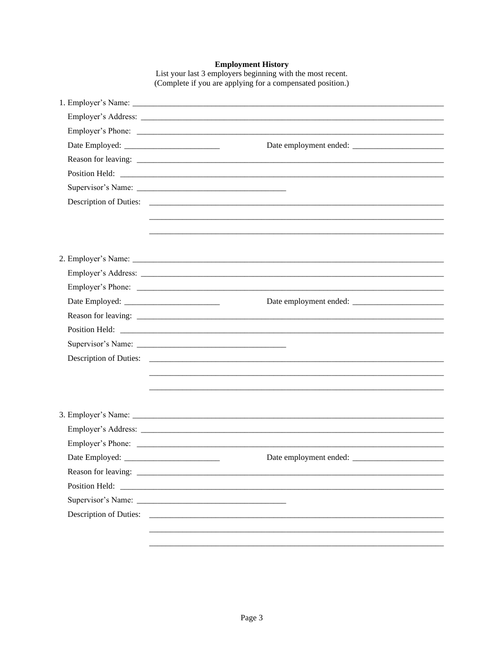**Employment History**<br>List your last 3 employers beginning with the most recent.<br>(Complete if you are applying for a compensated position.)